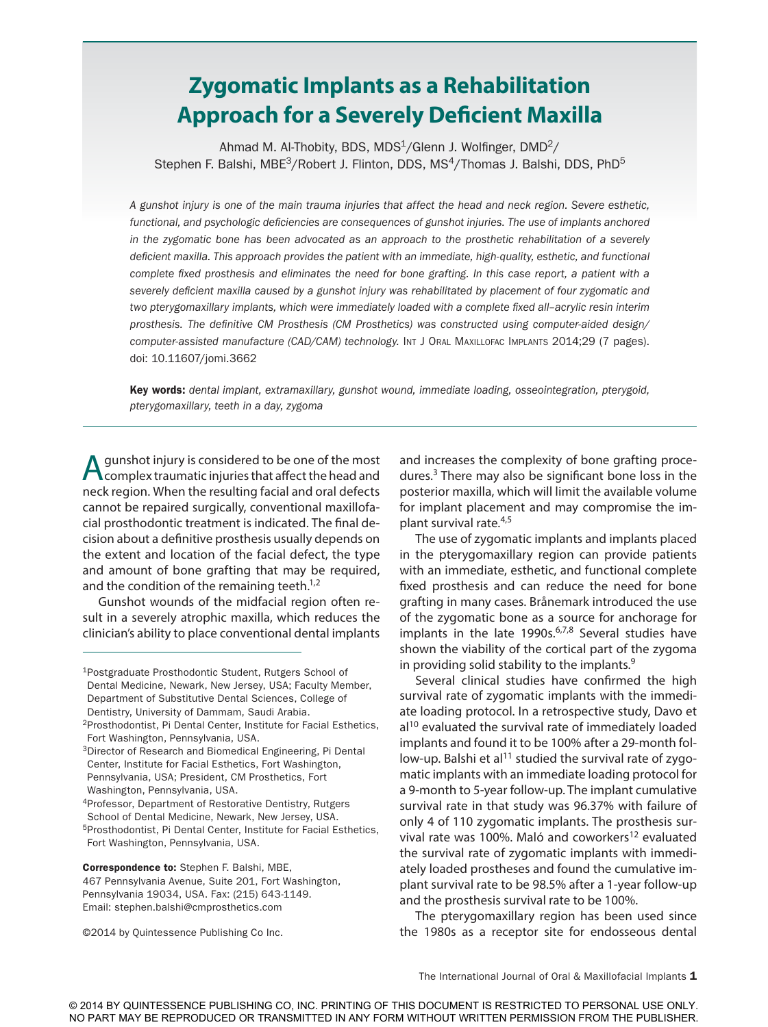# **Zygomatic Implants as a Rehabilitation Approach for a Severely Deficient Maxilla**

Ahmad M. Al-Thobity, BDS, MDS $1/$ Glenn J. Wolfinger, DMD $2/$ Stephen F. Balshi, MBE<sup>3</sup>/Robert J. Flinton, DDS, MS<sup>4</sup>/Thomas J. Balshi, DDS, PhD<sup>5</sup>

*A gunshot injury is one of the main trauma injuries that affect the head and neck region. Severe esthetic, functional, and psychologic deficiencies are consequences of gunshot injuries. The use of implants anchored in the zygomatic bone has been advocated as an approach to the prosthetic rehabilitation of a severely deficient maxilla. This approach provides the patient with an immediate, high-quality, esthetic, and functional complete fixed prosthesis and eliminates the need for bone grafting. In this case report, a patient with a severely deficient maxilla caused by a gunshot injury was rehabilitated by placement of four zygomatic and two pterygomaxillary implants, which were immediately loaded with a complete fixed all–acrylic resin interim prosthesis. The definitive CM Prosthesis (CM Prosthetics) was constructed using computer-aided design/* computer-assisted manufacture (CAD/CAM) technology. INT J ORAL MAXILLOFAC IMPLANTS 2014;29 (7 pages). doi: 10.11607/jomi.3662

Key words: *dental implant, extramaxillary, gunshot wound, immediate loading, osseointegration, pterygoid, pterygomaxillary, teeth in a day, zygoma*

**A** gunshot injury is considered to be one of the most complex traumatic injuries that affect the head and neck region. When the resulting facial and oral defects cannot be repaired surgically, conventional maxillofacial prosthodontic treatment is indicated. The final decision about a definitive prosthesis usually depends on the extent and location of the facial defect, the type and amount of bone grafting that may be required, and the condition of the remaining teeth. $1,2$ 

Gunshot wounds of the midfacial region often result in a severely atrophic maxilla, which reduces the clinician's ability to place conventional dental implants

4Professor, Department of Restorative Dentistry, Rutgers School of Dental Medicine, Newark, New Jersey, USA.

©2014 by Quintessence Publishing Co Inc.

and increases the complexity of bone grafting procedures.3 There may also be significant bone loss in the posterior maxilla, which will limit the available volume for implant placement and may compromise the implant survival rate.4,5

The use of zygomatic implants and implants placed in the pterygomaxillary region can provide patients with an immediate, esthetic, and functional complete fixed prosthesis and can reduce the need for bone grafting in many cases. Brånemark introduced the use of the zygomatic bone as a source for anchorage for implants in the late 1990s.<sup>6,7,8</sup> Several studies have shown the viability of the cortical part of the zygoma in providing solid stability to the implants.9

Several clinical studies have confirmed the high survival rate of zygomatic implants with the immediate loading protocol. In a retrospective study, Davo et  $al<sup>10</sup>$  evaluated the survival rate of immediately loaded implants and found it to be 100% after a 29-month follow-up. Balshi et al<sup>11</sup> studied the survival rate of zygomatic implants with an immediate loading protocol for a 9-month to 5-year follow-up. The implant cumulative survival rate in that study was 96.37% with failure of only 4 of 110 zygomatic implants. The prosthesis survival rate was 100%. Maló and coworkers<sup>12</sup> evaluated the survival rate of zygomatic implants with immediately loaded prostheses and found the cumulative implant survival rate to be 98.5% after a 1-year follow-up and the prosthesis survival rate to be 100%.

The pterygomaxillary region has been used since the 1980s as a receptor site for endosseous dental

<sup>1</sup>Postgraduate Prosthodontic Student, Rutgers School of Dental Medicine, Newark, New Jersey, USA; Faculty Member, Department of Substitutive Dental Sciences, College of Dentistry, University of Dammam, Saudi Arabia.

<sup>2</sup>Prosthodontist, Pi Dental Center, Institute for Facial Esthetics, Fort Washington, Pennsylvania, USA.

<sup>3</sup>Director of Research and Biomedical Engineering, Pi Dental Center, Institute for Facial Esthetics, Fort Washington, Pennsylvania, USA; President, CM Prosthetics, Fort Washington, Pennsylvania, USA.

<sup>5</sup>Prosthodontist, Pi Dental Center, Institute for Facial Esthetics, Fort Washington, Pennsylvania, USA.

Correspondence to: Stephen F. Balshi, MBE,

<sup>467</sup> Pennsylvania Avenue, Suite 201, Fort Washington, Pennsylvania 19034, USA. Fax: (215) 643-1149. Email: stephen.balshi@cmprosthetics.com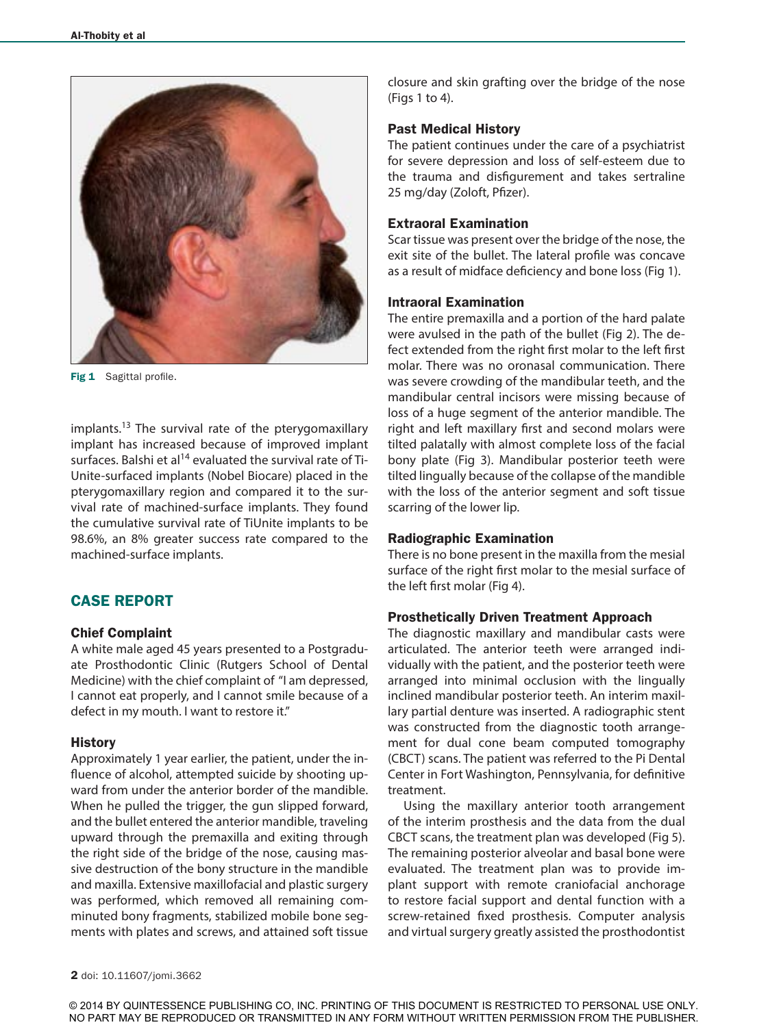

Fig 1 Sagittal profile.

implants.<sup>13</sup> The survival rate of the pterygomaxillary implant has increased because of improved implant surfaces. Balshi et al<sup>14</sup> evaluated the survival rate of Ti-Unite-surfaced implants (Nobel Biocare) placed in the pterygomaxillary region and compared it to the survival rate of machined-surface implants. They found the cumulative survival rate of TiUnite implants to be 98.6%, an 8% greater success rate compared to the machined-surface implants.

# CASE REPORT

#### Chief Complaint

A white male aged 45 years presented to a Postgraduate Prosthodontic Clinic (Rutgers School of Dental Medicine) with the chief complaint of "I am depressed, I cannot eat properly, and I cannot smile because of a defect in my mouth. I want to restore it."

#### **History**

Approximately 1 year earlier, the patient, under the influence of alcohol, attempted suicide by shooting upward from under the anterior border of the mandible. When he pulled the trigger, the gun slipped forward, and the bullet entered the anterior mandible, traveling upward through the premaxilla and exiting through the right side of the bridge of the nose, causing massive destruction of the bony structure in the mandible and maxilla. Extensive maxillofacial and plastic surgery was performed, which removed all remaining comminuted bony fragments, stabilized mobile bone segments with plates and screws, and attained soft tissue closure and skin grafting over the bridge of the nose (Figs 1 to 4).

#### Past Medical History

The patient continues under the care of a psychiatrist for severe depression and loss of self-esteem due to the trauma and disfigurement and takes sertraline 25 mg/day (Zoloft, Pfizer).

#### Extraoral Examination

Scar tissue was present over the bridge of the nose, the exit site of the bullet. The lateral profile was concave as a result of midface deficiency and bone loss (Fig 1).

## Intraoral Examination

The entire premaxilla and a portion of the hard palate were avulsed in the path of the bullet (Fig 2). The defect extended from the right first molar to the left first molar. There was no oronasal communication. There was severe crowding of the mandibular teeth, and the mandibular central incisors were missing because of loss of a huge segment of the anterior mandible. The right and left maxillary first and second molars were tilted palatally with almost complete loss of the facial bony plate (Fig 3). Mandibular posterior teeth were tilted lingually because of the collapse of the mandible with the loss of the anterior segment and soft tissue scarring of the lower lip.

#### Radiographic Examination

There is no bone present in the maxilla from the mesial surface of the right first molar to the mesial surface of the left first molar (Fig 4).

#### Prosthetically Driven Treatment Approach

The diagnostic maxillary and mandibular casts were articulated. The anterior teeth were arranged individually with the patient, and the posterior teeth were arranged into minimal occlusion with the lingually inclined mandibular posterior teeth. An interim maxillary partial denture was inserted. A radiographic stent was constructed from the diagnostic tooth arrangement for dual cone beam computed tomography (CBCT) scans. The patient was referred to the Pi Dental Center in Fort Washington, Pennsylvania, for definitive treatment.

Using the maxillary anterior tooth arrangement of the interim prosthesis and the data from the dual CBCT scans, the treatment plan was developed (Fig 5). The remaining posterior alveolar and basal bone were evaluated. The treatment plan was to provide implant support with remote craniofacial anchorage to restore facial support and dental function with a screw-retained fixed prosthesis. Computer analysis and virtual surgery greatly assisted the prosthodontist

© 2014 BY QUINTESSENCE PUBLISHING CO, INC. PRINTING OF THIS DOCUMENT IS RESTRICTED TO PERSONAL USE ONLY. NO PART MAY BE REPRODUCED OR TRANSMITTED IN ANY FORM WITHOUT WRITTEN PERMISSION FROM THE PUBLISHER.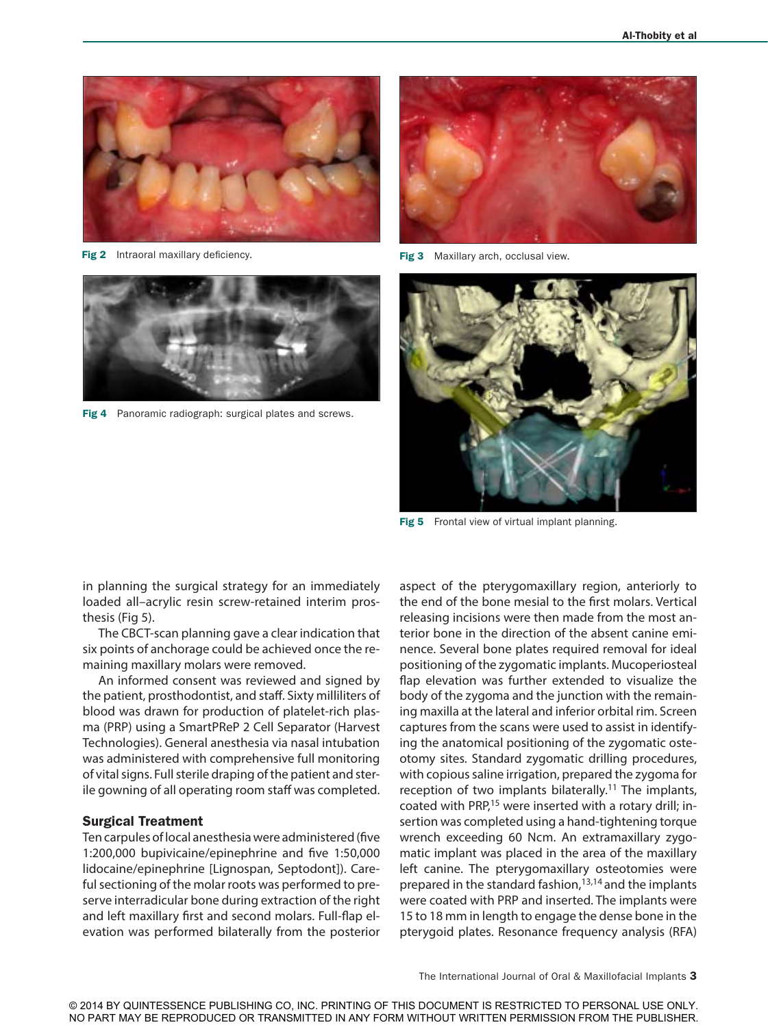

Fig 2 Intraoral maxillary deficiency. The same state of the set of the state of the state of the state of the state of the state of the state of the state of the state of the state of the state of the state of the state of





Fig 4 Panoramic radiograph: surgical plates and screws.



Fig 5 Frontal view of virtual implant planning.

in planning the surgical strategy for an immediately loaded all–acrylic resin screw-retained interim prosthesis (Fig 5).

The CBCT-scan planning gave a clear indication that six points of anchorage could be achieved once the remaining maxillary molars were removed.

An informed consent was reviewed and signed by the patient, prosthodontist, and staff. Sixty milliliters of blood was drawn for production of platelet-rich plasma (PRP) using a SmartPReP 2 Cell Separator (Harvest Technologies). General anesthesia via nasal intubation was administered with comprehensive full monitoring of vital signs. Full sterile draping of the patient and sterile gowning of all operating room staff was completed.

#### Surgical Treatment

Ten carpules of local anesthesia were administered (five 1:200,000 bupivicaine/epinephrine and five 1:50,000 lidocaine/epinephrine [Lignospan, Septodont]). Careful sectioning of the molar roots was performed to preserve interradicular bone during extraction of the right and left maxillary first and second molars. Full-flap elevation was performed bilaterally from the posterior aspect of the pterygomaxillary region, anteriorly to the end of the bone mesial to the first molars. Vertical releasing incisions were then made from the most anterior bone in the direction of the absent canine eminence. Several bone plates required removal for ideal positioning of the zygomatic implants. Mucoperiosteal flap elevation was further extended to visualize the body of the zygoma and the junction with the remaining maxilla at the lateral and inferior orbital rim. Screen captures from the scans were used to assist in identifying the anatomical positioning of the zygomatic osteotomy sites. Standard zygomatic drilling procedures, with copious saline irrigation, prepared the zygoma for reception of two implants bilaterally.<sup>11</sup> The implants, coated with PRP,<sup>15</sup> were inserted with a rotary drill; insertion was completed using a hand-tightening torque wrench exceeding 60 Ncm. An extramaxillary zygomatic implant was placed in the area of the maxillary left canine. The pterygomaxillary osteotomies were prepared in the standard fashion, $13,14$  and the implants were coated with PRP and inserted. The implants were 15 to 18 mm in length to engage the dense bone in the pterygoid plates. Resonance frequency analysis (RFA)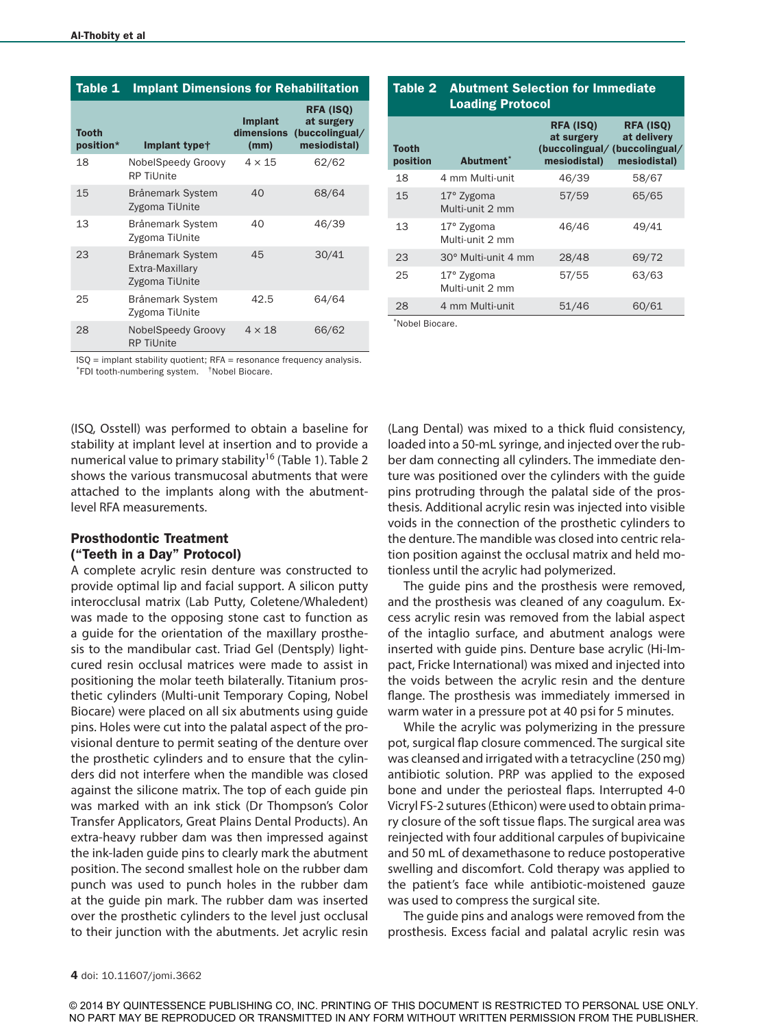| <b>Tooth</b><br>position* | Implant type <sup>+</sup>                             | <b>Implant</b><br><b>dimensions</b><br>(mm) | <b>RFA (ISQ)</b><br>at surgery<br>(buccolingual/<br>mesiodistal) |
|---------------------------|-------------------------------------------------------|---------------------------------------------|------------------------------------------------------------------|
| 18                        | NobelSpeedy Groovy<br><b>RP Tillnite</b>              | $4 \times 15$                               | 62/62                                                            |
| 15                        | Brånemark System<br>Zygoma TiUnite                    | 40                                          | 68/64                                                            |
| 13                        | Brånemark System<br>Zygoma TiUnite                    | 40                                          | 46/39                                                            |
| 23                        | Brånemark System<br>Extra-Maxillary<br>Zygoma TiUnite | 45                                          | 30/41                                                            |
| 25                        | Brånemark System<br>Zygoma TiUnite                    | 42.5                                        | 64/64                                                            |
| 28                        | <b>NobelSpeedy Groovy</b><br><b>RP TiUnite</b>        | $4 \times 18$                               | 66/62                                                            |

| <b>Tooth</b><br>position | Abutment <sup>*</sup>         | RFA (ISQ)<br>at surgery<br>(buccolingual/ (buccolingual/<br>mesiodistal) | <b>RFA (ISQ)</b><br>at delivery<br>mesiodistal) |  |
|--------------------------|-------------------------------|--------------------------------------------------------------------------|-------------------------------------------------|--|
| 18                       | 4 mm Multi-unit               | 46/39                                                                    | 58/67                                           |  |
| 15                       | 17° Zygoma<br>Multi-unit 2 mm | 57/59                                                                    | 65/65                                           |  |
| 13                       | 17° Zygoma<br>Multi-unit 2 mm | 46/46                                                                    | 49/41                                           |  |
| 23                       | 30° Multi-unit 4 mm           | 28/48                                                                    | 69/72                                           |  |
| 25                       | 17° Zygoma<br>Multi-unit 2 mm | 57/55                                                                    | 63/63                                           |  |
| 28                       | 4 mm Multi-unit               | 51/46                                                                    | 60/61                                           |  |
| *Nobel Biocare           |                               |                                                                          |                                                 |  |

Table 2 Abutment Selection for Immediate

Loading Protocol

ISQ = implant stability quotient; RFA = resonance frequency analysis. \*FDI tooth-numbering system. †Nobel Biocare.

(ISQ, Osstell) was performed to obtain a baseline for stability at implant level at insertion and to provide a numerical value to primary stability<sup>16</sup> (Table 1). Table 2 shows the various transmucosal abutments that were attached to the implants along with the abutmentlevel RFA measurements.

## Prosthodontic Treatment ("Teeth in a Day" Protocol)

A complete acrylic resin denture was constructed to provide optimal lip and facial support. A silicon putty interocclusal matrix (Lab Putty, Coletene/Whaledent) was made to the opposing stone cast to function as a guide for the orientation of the maxillary prosthesis to the mandibular cast. Triad Gel (Dentsply) lightcured resin occlusal matrices were made to assist in positioning the molar teeth bilaterally. Titanium prosthetic cylinders (Multi-unit Temporary Coping, Nobel Biocare) were placed on all six abutments using guide pins. Holes were cut into the palatal aspect of the provisional denture to permit seating of the denture over the prosthetic cylinders and to ensure that the cylinders did not interfere when the mandible was closed against the silicone matrix. The top of each guide pin was marked with an ink stick (Dr Thompson's Color Transfer Applicators, Great Plains Dental Products). An extra-heavy rubber dam was then impressed against the ink-laden guide pins to clearly mark the abutment position. The second smallest hole on the rubber dam punch was used to punch holes in the rubber dam at the guide pin mark. The rubber dam was inserted over the prosthetic cylinders to the level just occlusal to their junction with the abutments. Jet acrylic resin

(Lang Dental) was mixed to a thick fluid consistency, loaded into a 50-mL syringe, and injected over the rubber dam connecting all cylinders. The immediate denture was positioned over the cylinders with the guide pins protruding through the palatal side of the prosthesis. Additional acrylic resin was injected into visible voids in the connection of the prosthetic cylinders to the denture. The mandible was closed into centric relation position against the occlusal matrix and held motionless until the acrylic had polymerized.

The guide pins and the prosthesis were removed, and the prosthesis was cleaned of any coagulum. Excess acrylic resin was removed from the labial aspect of the intaglio surface, and abutment analogs were inserted with guide pins. Denture base acrylic (Hi-Impact, Fricke International) was mixed and injected into the voids between the acrylic resin and the denture flange. The prosthesis was immediately immersed in warm water in a pressure pot at 40 psi for 5 minutes.

While the acrylic was polymerizing in the pressure pot, surgical flap closure commenced. The surgical site was cleansed and irrigated with a tetracycline (250 mg) antibiotic solution. PRP was applied to the exposed bone and under the periosteal flaps. Interrupted 4-0 Vicryl FS-2 sutures (Ethicon) were used to obtain primary closure of the soft tissue flaps. The surgical area was reinjected with four additional carpules of bupivicaine and 50 mL of dexamethasone to reduce postoperative swelling and discomfort. Cold therapy was applied to the patient's face while antibiotic-moistened gauze was used to compress the surgical site.

The guide pins and analogs were removed from the prosthesis. Excess facial and palatal acrylic resin was

© 2014 BY QUINTESSENCE PUBLISHING CO, INC. PRINTING OF THIS DOCUMENT IS RESTRICTED TO PERSONAL USE ONLY. NO PART MAY BE REPRODUCED OR TRANSMITTED IN ANY FORM WITHOUT WRITTEN PERMISSION FROM THE PUBLISHER.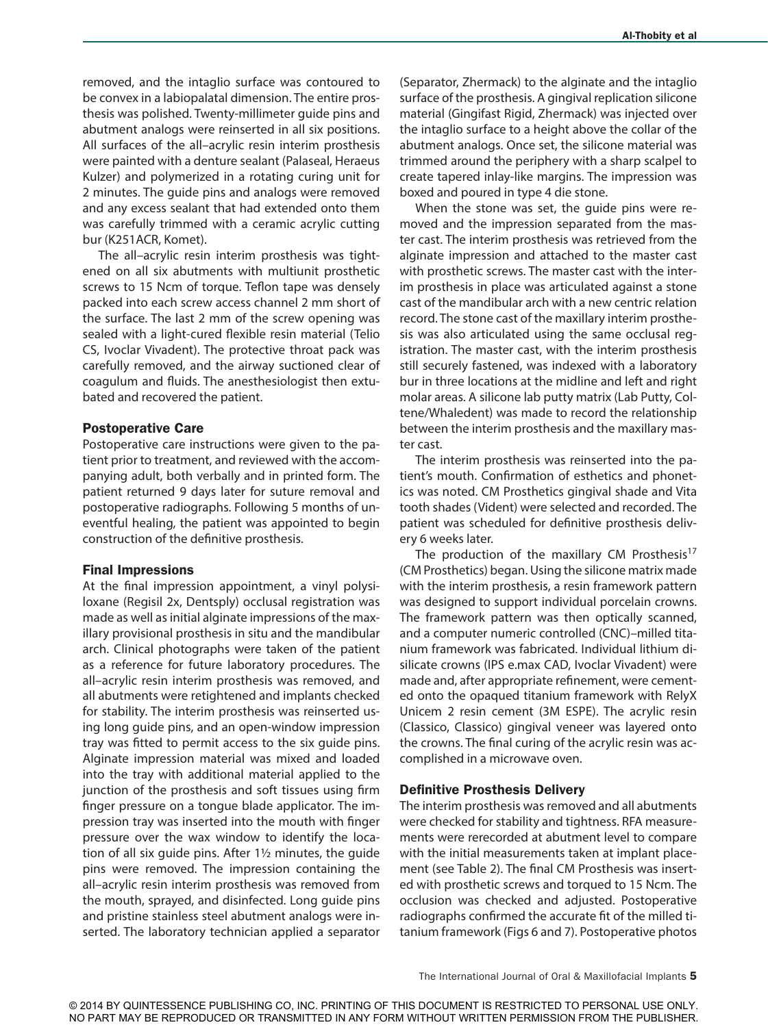removed, and the intaglio surface was contoured to be convex in a labiopalatal dimension. The entire prosthesis was polished. Twenty-millimeter guide pins and abutment analogs were reinserted in all six positions. All surfaces of the all–acrylic resin interim prosthesis were painted with a denture sealant (Palaseal, Heraeus Kulzer) and polymerized in a rotating curing unit for 2 minutes. The guide pins and analogs were removed and any excess sealant that had extended onto them was carefully trimmed with a ceramic acrylic cutting bur (K251ACR, Komet).

The all–acrylic resin interim prosthesis was tightened on all six abutments with multiunit prosthetic screws to 15 Ncm of torque. Teflon tape was densely packed into each screw access channel 2 mm short of the surface. The last 2 mm of the screw opening was sealed with a light-cured flexible resin material (Telio CS, Ivoclar Vivadent). The protective throat pack was carefully removed, and the airway suctioned clear of coagulum and fluids. The anesthesiologist then extubated and recovered the patient.

#### Postoperative Care

Postoperative care instructions were given to the patient prior to treatment, and reviewed with the accompanying adult, both verbally and in printed form. The patient returned 9 days later for suture removal and postoperative radiographs. Following 5 months of uneventful healing, the patient was appointed to begin construction of the definitive prosthesis.

#### Final Impressions

At the final impression appointment, a vinyl polysiloxane (Regisil 2x, Dentsply) occlusal registration was made as well as initial alginate impressions of the maxillary provisional prosthesis in situ and the mandibular arch. Clinical photographs were taken of the patient as a reference for future laboratory procedures. The all–acrylic resin interim prosthesis was removed, and all abutments were retightened and implants checked for stability. The interim prosthesis was reinserted using long guide pins, and an open-window impression tray was fitted to permit access to the six guide pins. Alginate impression material was mixed and loaded into the tray with additional material applied to the junction of the prosthesis and soft tissues using firm finger pressure on a tongue blade applicator. The impression tray was inserted into the mouth with finger pressure over the wax window to identify the location of all six guide pins. After 1½ minutes, the guide pins were removed. The impression containing the all–acrylic resin interim prosthesis was removed from the mouth, sprayed, and disinfected. Long guide pins and pristine stainless steel abutment analogs were inserted. The laboratory technician applied a separator (Separator, Zhermack) to the alginate and the intaglio surface of the prosthesis. A gingival replication silicone material (Gingifast Rigid, Zhermack) was injected over the intaglio surface to a height above the collar of the abutment analogs. Once set, the silicone material was trimmed around the periphery with a sharp scalpel to create tapered inlay-like margins. The impression was boxed and poured in type 4 die stone.

When the stone was set, the guide pins were removed and the impression separated from the master cast. The interim prosthesis was retrieved from the alginate impression and attached to the master cast with prosthetic screws. The master cast with the interim prosthesis in place was articulated against a stone cast of the mandibular arch with a new centric relation record. The stone cast of the maxillary interim prosthesis was also articulated using the same occlusal registration. The master cast, with the interim prosthesis still securely fastened, was indexed with a laboratory bur in three locations at the midline and left and right molar areas. A silicone lab putty matrix (Lab Putty, Coltene/Whaledent) was made to record the relationship between the interim prosthesis and the maxillary master cast.

The interim prosthesis was reinserted into the patient's mouth. Confirmation of esthetics and phonetics was noted. CM Prosthetics gingival shade and Vita tooth shades (Vident) were selected and recorded. The patient was scheduled for definitive prosthesis delivery 6 weeks later.

The production of the maxillary CM Prosthesis<sup>17</sup> (CM Prosthetics) began. Using the silicone matrix made with the interim prosthesis, a resin framework pattern was designed to support individual porcelain crowns. The framework pattern was then optically scanned, and a computer numeric controlled (CNC)–milled titanium framework was fabricated. Individual lithium disilicate crowns (IPS e.max CAD, Ivoclar Vivadent) were made and, after appropriate refinement, were cemented onto the opaqued titanium framework with RelyX Unicem 2 resin cement (3M ESPE). The acrylic resin (Classico, Classico) gingival veneer was layered onto the crowns. The final curing of the acrylic resin was accomplished in a microwave oven.

#### Definitive Prosthesis Delivery

The interim prosthesis was removed and all abutments were checked for stability and tightness. RFA measurements were rerecorded at abutment level to compare with the initial measurements taken at implant placement (see Table 2). The final CM Prosthesis was inserted with prosthetic screws and torqued to 15 Ncm. The occlusion was checked and adjusted. Postoperative radiographs confirmed the accurate fit of the milled titanium framework (Figs 6 and 7). Postoperative photos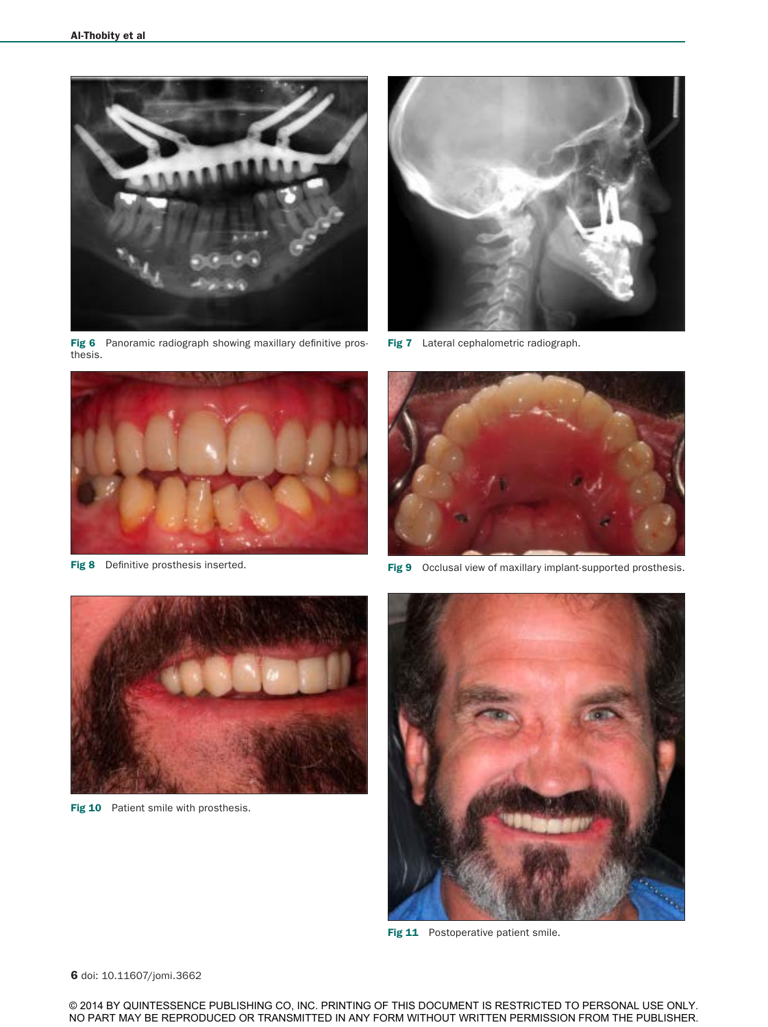

Fig 6 Panoramic radiograph showing maxillary definitive prosthesis.



Fig 8 Definitive prosthesis inserted.



Fig 7 Lateral cephalometric radiograph.



Fig 9 Occlusal view of maxillary implant-supported prosthesis.



Fig 10 Patient smile with prosthesis.



Fig 11 Postoperative patient smile.

6 doi: 10.11607/jomi.3662

© 2014 BY QUINTESSENCE PUBLISHING CO, INC. PRINTING OF THIS DOCUMENT IS RESTRICTED TO PERSONAL USE ONLY. NO PART MAY BE REPRODUCED OR TRANSMITTED IN ANY FORM WITHOUT WRITTEN PERMISSION FROM THE PUBLISHER.